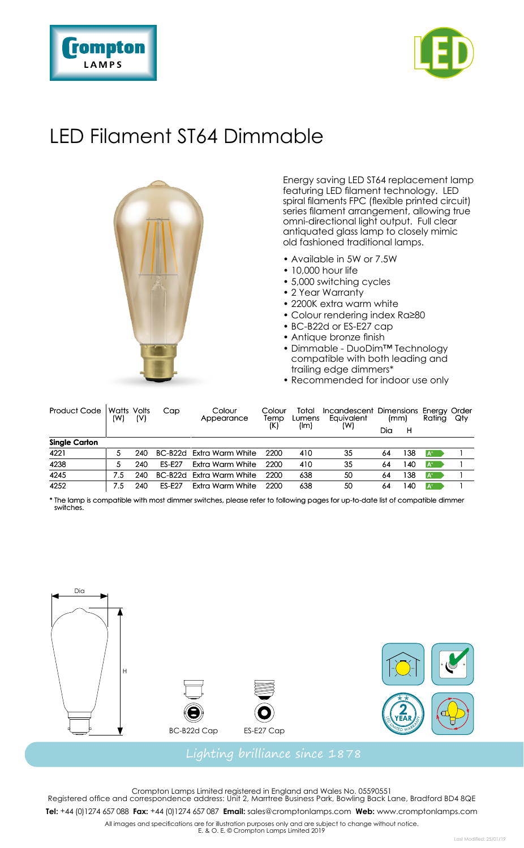



# LED Filament ST64 Dimmable



Energy saving LED ST64 replacement lamp featuring LED filament technology. LED spiral filaments FPC (flexible printed circuit) series filament arrangement, allowing true omni-directional light output. Full clear antiquated glass lamp to closely mimic old fashioned traditional lamps.

- Available in 5W or 7.5W
- 10,000 hour life
- 5,000 switching cycles
- 2 Year Warranty
- 2200K extra warm white
- Colour rendering index Ra≥80
- BC-B22d or ES-E27 cap
- Antique bronze finish
- Dimmable DuoDim™ Technology compatible with both leading and trailing edge dimmers\*
- Recommended for indoor use only

| Product Code         | <b>Watts Volts</b><br>(W) | (V) | Cap           | Colour<br>Appearance     | Colour<br>Temp | Total<br>Lumens | Incandescent Dimensions Energy Order<br>Eauivalent | (mm) |    | Rating   | Qty |
|----------------------|---------------------------|-----|---------------|--------------------------|----------------|-----------------|----------------------------------------------------|------|----|----------|-----|
|                      |                           |     |               |                          | (K)            | (lm)            | (W)                                                | Dia  | н  |          |     |
| <b>Single Carton</b> |                           |     |               |                          |                |                 |                                                    |      |    |          |     |
| 4221                 |                           | 240 |               | BC-B22d Extra Warm White | 2200           | 410             | 35                                                 | 64   | 38 | <b>A</b> |     |
| 4238                 |                           | 240 | <b>FS-F27</b> | <b>Fxtra Warm White</b>  | 2200           | 410             | 35                                                 | 64   | 40 | ۱A۰      |     |
| 4245                 | 7.5                       | 240 |               | BC-B22d Fxtra Warm White | 2200           | 638             | 50                                                 | 64   | 38 | $A^*$    |     |
| 4252                 | 7.5                       | 240 | <b>FS-F27</b> | Extra Warm White         | 2200           | 638             | 50                                                 | 64   | 40 | $A^*$    |     |

\* The lamp is compatible with most dimmer switches, please refer to following pages for up-to-date list of compatible dimmer switches.



Crompton Lamps Limited registered in England and Wales No. 05590551 Registered office and correspondence address: Unit 2, Marrtree Business Park, Bowling Back Lane, Bradford BD4 8QE

**Tel:** +44 (0)1274 657 088 **Fax:** +44 (0)1274 657 087 **Email:** sales@cromptonlamps.com **Web:** www.cromptonlamps.com

All images and specifications are for illustration purposes only and are subject to change without notice. E. & O. E. © Crompton Lamps Limited 2019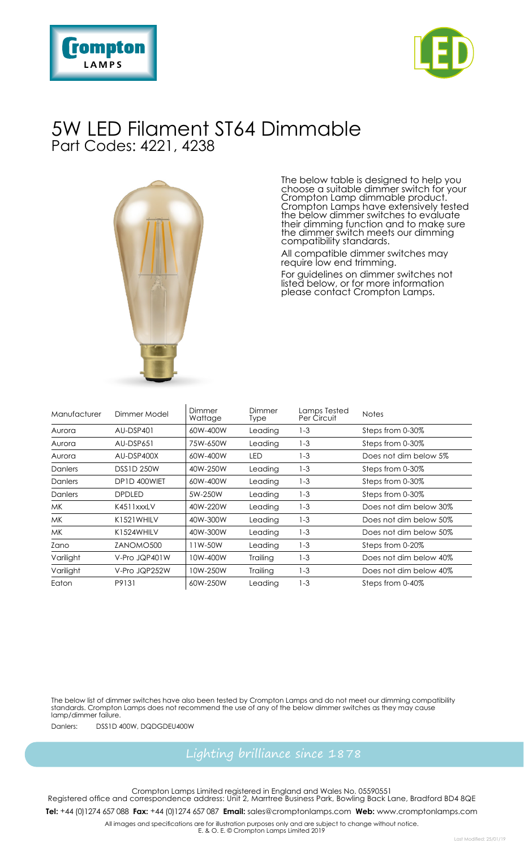



### 5W LED Filament ST64 Dimmable Part Codes: 4221, 4238



The below table is designed to help you choose a suitable dimmer switch for your Crompton Lamp dimmable product. Crompton Lamps have extensively tested the below dimmer switches to evaluate their dimming function and to make sure the dimmer switch meets our dimming compatibility standards.

All compatible dimmer switches may require low end trimming.

For guidelines on dimmer switches not listed below, or for more information please contact Crompton Lamps.

| Manufacturer | Dimmer Model      | Dimmer<br>Wattage | Dimmer<br>Type | Lamps Tested<br>Per Circuit | <b>Notes</b>           |
|--------------|-------------------|-------------------|----------------|-----------------------------|------------------------|
| Aurora       | AU-DSP401         | 60W-400W          | Leading        | $1 - 3$                     | Steps from 0-30%       |
| Aurora       | AU-DSP651         | 75W-650W          | Leading        | $1-3$                       | Steps from 0-30%       |
| Aurora       | AU-DSP400X        | 60W-400W          | LED            | $1 - 3$                     | Does not dim below 5%  |
| Danlers      | <b>DSS1D 250W</b> | 40W-250W          | Leading        | $1 - 3$                     | Steps from 0-30%       |
| Danlers      | DP1D 400WIFT      | 60W-400W          | Leading        | $1 - 3$                     | Steps from 0-30%       |
| Danlers      | <b>DPDLED</b>     | 5W-250W           | Leading        | $1 - 3$                     | Steps from 0-30%       |
| MK.          | K4511xxxLV        | 40W-220W          | Leading        | $1 - 3$                     | Does not dim below 30% |
| MK.          | K1521 WHILV       | 40W-300W          | Leading        | $1 - 3$                     | Does not dim below 50% |
| MK.          | K1524WHILV        | 40W-300W          | Leading        | $1 - 3$                     | Does not dim below 50% |
| Zano         | ZANOMO500         | 11W-50W           | Leading        | $1 - 3$                     | Steps from 0-20%       |
| Varilight    | V-Pro JQP401W     | 10W-400W          | Trailing       | $1 - 3$                     | Does not dim below 40% |
| Varilight    | V-Pro JQP252W     | 10W-250W          | Trailing       | $1 - 3$                     | Does not dim below 40% |
| Eaton        | P9131             | 60W-250W          | Leading        | $1 - 3$                     | Steps from 0-40%       |

The below list of dimmer switches have also been tested by Crompton Lamps and do not meet our dimming compatibility standards. Crompton Lamps does not recommend the use of any of the below dimmer switches as they may cause lamp/dimmer failure.

Danlers: DSS1D 400W, DQDGDEU400W

Crompton Lamps Limited registered in England and Wales No. 05590551 Registered office and correspondence address: Unit 2, Marrtree Business Park, Bowling Back Lane, Bradford BD4 8QE **Tel:** +44 (0)1274 657 088 **Fax:** +44 (0)1274 657 087 **Email:** sales@cromptonlamps.com **Web:** www.cromptonlamps.com

All images and specifications are for illustration purposes only and are subject to change without notice. E. & O. E. © Crompton Lamps Limited 2019